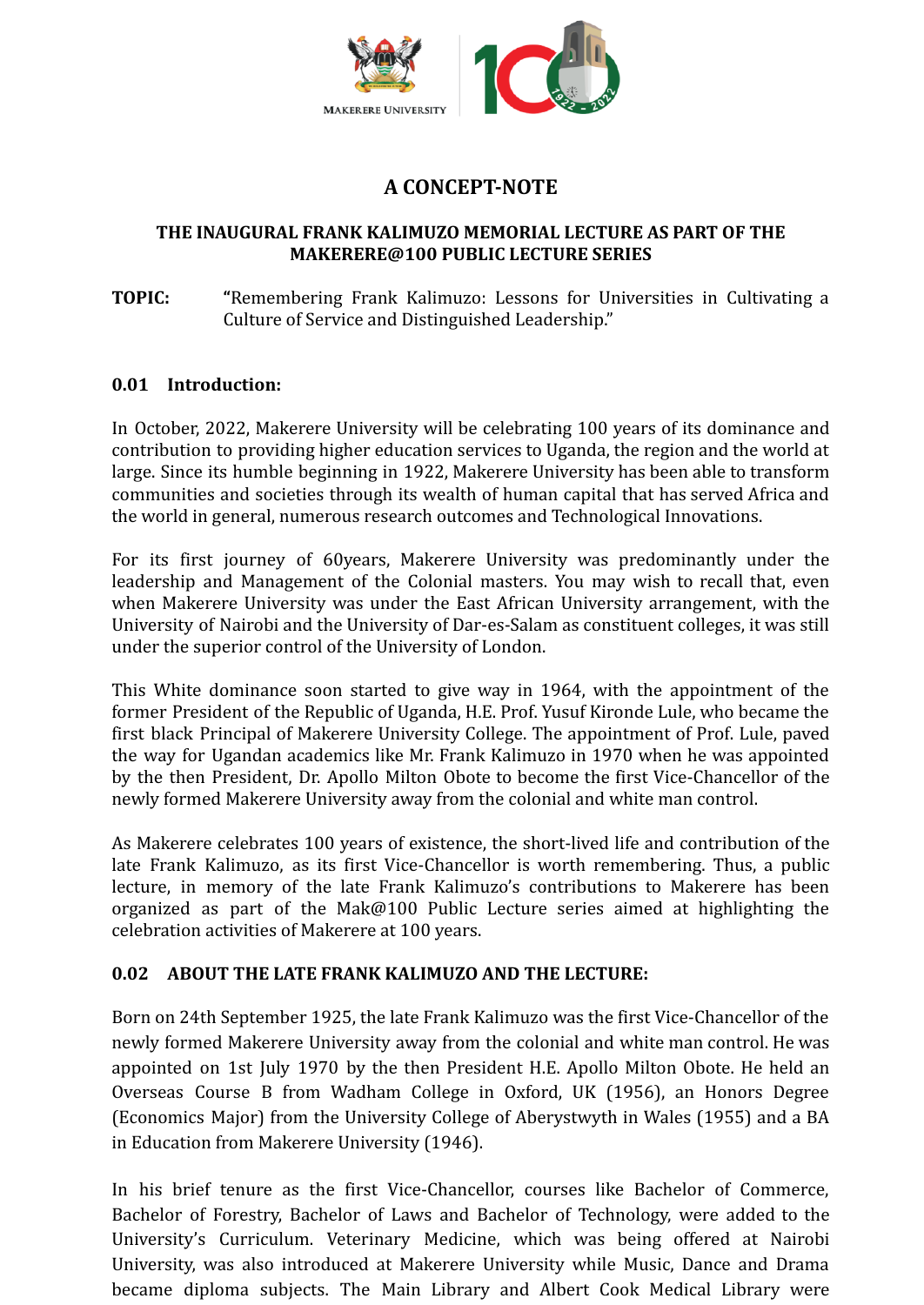

# **A CONCEPT-NOTE**

## **THE INAUGURAL FRANK KALIMUZO MEMORIAL LECTURE AS PART OF THE MAKERERE@100 PUBLIC LECTURE SERIES**

## **TOPIC: "**Remembering Frank Kalimuzo: Lessons for Universities in Cultivating a Culture of Service and Distinguished Leadership."

#### **0.01 Introduction:**

In October, 2022, Makerere University will be celebrating 100 years of its dominance and contribution to providing higher education services to Uganda, the region and the world at large. Since its humble beginning in 1922, Makerere University has been able to transform communities and societies through its wealth of human capital that has served Africa and the world in general, numerous research outcomes and Technological Innovations.

For its first journey of 60years, Makerere University was predominantly under the leadership and Management of the Colonial masters. You may wish to recall that, even when Makerere University was under the East African University arrangement, with the University of Nairobi and the University of Dar-es-Salam as constituent colleges, it was still under the superior control of the University of London.

This White dominance soon started to give way in 1964, with the appointment of the former President of the Republic of Uganda, H.E. Prof. Yusuf Kironde Lule, who became the first black Principal of Makerere University College. The appointment of Prof. Lule, paved the way for Ugandan academics like Mr. Frank Kalimuzo in 1970 when he was appointed by the then President, Dr. Apollo Milton Obote to become the first Vice-Chancellor of the newly formed [Makerere University](https://mak.ac.ug) away from the colonial and white man control.

As Makerere celebrates 100 years of existence, the short-lived life and contribution of the late Frank Kalimuzo, as its first Vice-Chancellor is worth remembering. Thus, a public lecture, in memory of the late Frank Kalimuzo's contributions to Makerere has been organized as part of the Mak@100 Public Lecture series aimed at highlighting the celebration activities of Makerere at 100 years.

## **0.02 ABOUT THE LATE FRANK KALIMUZO AND THE LECTURE:**

Born on 24th September 1925, the late Frank Kalimuzo was the first Vice-Chancellor of the newly formed Makerere [University](https://mak.ac.ug) away from the colonial and white man control. He was appointed on 1st July 1970 by the then President H.E. Apollo Milton Obote. He held an Overseas Course B from Wadham College in Oxford, UK (1956), an Honors Degree (Economics Major) from the University College of Aberystwyth in Wales (1955) and a BA in Education from [Makerere University](https://mak.ac.ug) (1946).

In his brief tenure as the first Vice-Chancellor, courses like Bachelor of Commerce, Bachelor of Forestry, Bachelor of Laws and Bachelor of Technology, were added to the University's Curriculum. Veterinary Medicine, which was being offered at Nairobi University, was also introduced at Makerere [University](https://mak.ac.ug) while Music, Dance and Drama became diploma subjects. The Main Library and Albert Cook Medical Library were